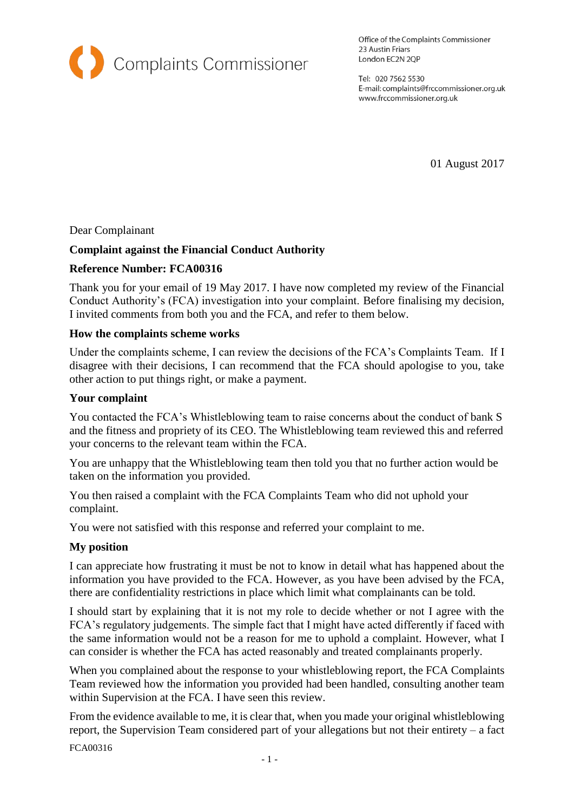

Office of the Complaints Commissioner 23 Austin Friars London EC2N 2QP

Tel: 020 7562 5530 E-mail: complaints@frccommissioner.org.uk www.frccommissioner.org.uk

01 August 2017

## Dear Complainant

# **Complaint against the Financial Conduct Authority**

### **Reference Number: FCA00316**

Thank you for your email of 19 May 2017. I have now completed my review of the Financial Conduct Authority's (FCA) investigation into your complaint. Before finalising my decision, I invited comments from both you and the FCA, and refer to them below.

#### **How the complaints scheme works**

Under the complaints scheme, I can review the decisions of the FCA's Complaints Team. If I disagree with their decisions, I can recommend that the FCA should apologise to you, take other action to put things right, or make a payment.

#### **Your complaint**

You contacted the FCA's Whistleblowing team to raise concerns about the conduct of bank S and the fitness and propriety of its CEO. The Whistleblowing team reviewed this and referred your concerns to the relevant team within the FCA.

You are unhappy that the Whistleblowing team then told you that no further action would be taken on the information you provided.

You then raised a complaint with the FCA Complaints Team who did not uphold your complaint.

You were not satisfied with this response and referred your complaint to me.

#### **My position**

I can appreciate how frustrating it must be not to know in detail what has happened about the information you have provided to the FCA. However, as you have been advised by the FCA, there are confidentiality restrictions in place which limit what complainants can be told.

I should start by explaining that it is not my role to decide whether or not I agree with the FCA's regulatory judgements. The simple fact that I might have acted differently if faced with the same information would not be a reason for me to uphold a complaint. However, what I can consider is whether the FCA has acted reasonably and treated complainants properly.

When you complained about the response to your whistleblowing report, the FCA Complaints Team reviewed how the information you provided had been handled, consulting another team within Supervision at the FCA. I have seen this review.

From the evidence available to me, it is clear that, when you made your original whistleblowing report, the Supervision Team considered part of your allegations but not their entirety – a fact

FCA00316